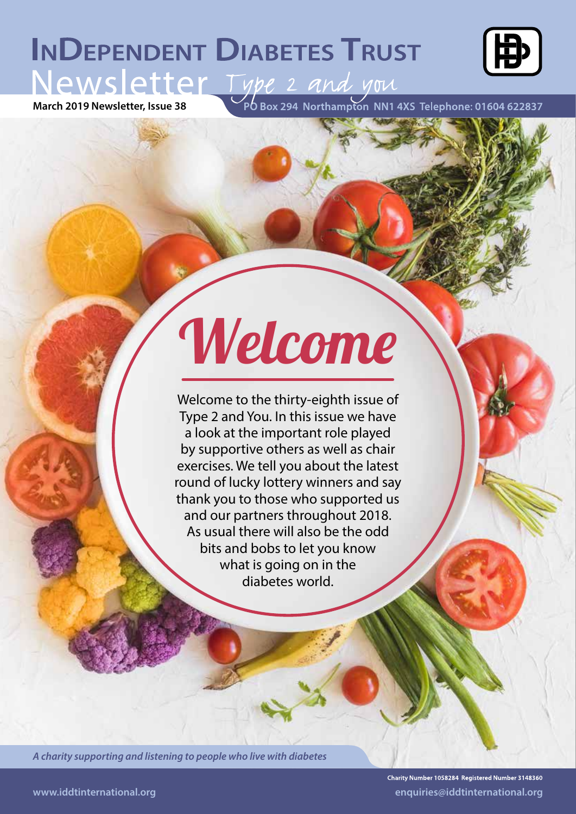# **INDEPENDENT DIABETES TRUST** Mewsletter, Issue 38<br>March 2019 Newsletter, Issue 38<br>Po Box 294 Northampton NN1 4X5 Telephone: 01604 622837



# Welcome

Welcome to the thirty-eighth issue of Type 2 and You. In this issue we have a look at the important role played by supportive others as well as chair exercises. We tell you about the latest round of lucky lottery winners and say thank you to those who supported us and our partners throughout 2018. As usual there will also be the odd bits and bobs to let you know what is going on in the diabetes world.

*A charity supporting and listening to people who live with diabetes*

Charity Number 1058284 Registered Number 3148360 **www.iddtinternational.org enquiries@iddtinternational.org**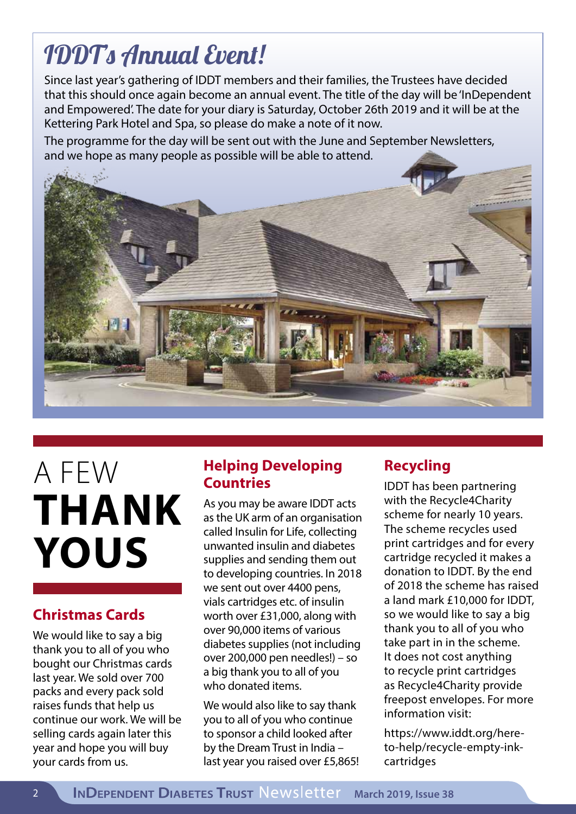# IDDT's Annual Event!

Since last year's gathering of IDDT members and their families, the Trustees have decided that this should once again become an annual event. The title of the day will be 'InDependent and Empowered'. The date for your diary is Saturday, October 26th 2019 and it will be at the Kettering Park Hotel and Spa, so please do make a note of it now.

The programme for the day will be sent out with the June and September Newsletters, and we hope as many people as possible will be able to attend.



# A FEW **THANK YOUS**

## **Christmas Cards**

We would like to say a big thank you to all of you who bought our Christmas cards last year. We sold over 700 packs and every pack sold raises funds that help us continue our work. We will be selling cards again later this year and hope you will buy your cards from us.

## **Helping Developing Countries**

As you may be aware IDDT acts as the UK arm of an organisation called Insulin for Life, collecting unwanted insulin and diabetes supplies and sending them out to developing countries. In 2018 we sent out over 4400 pens, vials cartridges etc. of insulin worth over £31,000, along with over 90,000 items of various diabetes supplies (not including over 200,000 pen needles!) – so a big thank you to all of you who donated items.

We would also like to say thank you to all of you who continue to sponsor a child looked after by the Dream Trust in India – last year you raised over £5,865!

# **Recycling**

IDDT has been partnering with the Recycle4Charity scheme for nearly 10 years. The scheme recycles used print cartridges and for every cartridge recycled it makes a donation to IDDT. By the end of 2018 the scheme has raised a land mark £10,000 for IDDT, so we would like to say a big thank you to all of you who take part in in the scheme. It does not cost anything to recycle print cartridges as Recycle4Charity provide freepost envelopes. For more information visit:

https://www.iddt.org/hereto-help/recycle-empty-inkcartridges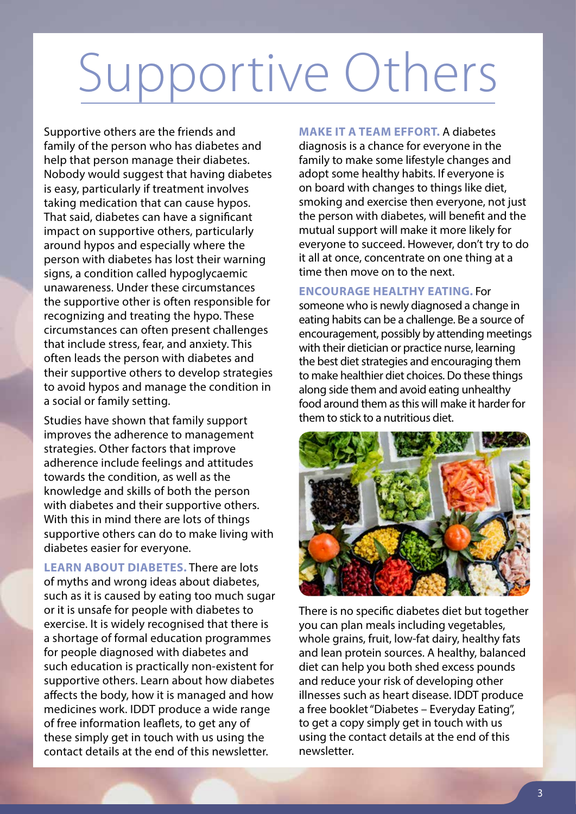# Supportive Others

Supportive others are the friends and family of the person who has diabetes and help that person manage their diabetes. Nobody would suggest that having diabetes is easy, particularly if treatment involves taking medication that can cause hypos. That said, diabetes can have a significant impact on supportive others, particularly around hypos and especially where the person with diabetes has lost their warning signs, a condition called hypoglycaemic unawareness. Under these circumstances the supportive other is often responsible for recognizing and treating the hypo. These circumstances can often present challenges that include stress, fear, and anxiety. This often leads the person with diabetes and their supportive others to develop strategies to avoid hypos and manage the condition in a social or family setting.

Studies have shown that family support improves the adherence to management strategies. Other factors that improve adherence include feelings and attitudes towards the condition, as well as the knowledge and skills of both the person with diabetes and their supportive others. With this in mind there are lots of things supportive others can do to make living with diabetes easier for everyone.

**LEARN ABOUT DIABETES.** There are lots of myths and wrong ideas about diabetes, such as it is caused by eating too much sugar or it is unsafe for people with diabetes to exercise. It is widely recognised that there is a shortage of formal education programmes for people diagnosed with diabetes and such education is practically non-existent for supportive others. Learn about how diabetes affects the body, how it is managed and how medicines work. IDDT produce a wide range of free information leaflets, to get any of these simply get in touch with us using the contact details at the end of this newsletter.

**MAKE IT A TEAM EFFORT.** A diabetes diagnosis is a chance for everyone in the family to make some lifestyle changes and adopt some healthy habits. If everyone is on board with changes to things like diet, smoking and exercise then everyone, not just the person with diabetes, will benefit and the mutual support will make it more likely for everyone to succeed. However, don't try to do it all at once, concentrate on one thing at a time then move on to the next.

#### **ENCOURAGE HEALTHY EATING.** For

someone who is newly diagnosed a change in eating habits can be a challenge. Be a source of encouragement, possibly by attending meetings with their dietician or practice nurse, learning the best diet strategies and encouraging them to make healthier diet choices. Do these things along side them and avoid eating unhealthy food around them as this will make it harder for them to stick to a nutritious diet.



There is no specific diabetes diet but together you can plan meals including vegetables, whole grains, fruit, low-fat dairy, healthy fats and lean protein sources. A healthy, balanced diet can help you both shed excess pounds and reduce your risk of developing other illnesses such as heart disease. IDDT produce a free booklet "Diabetes – Everyday Eating", to get a copy simply get in touch with us using the contact details at the end of this newsletter.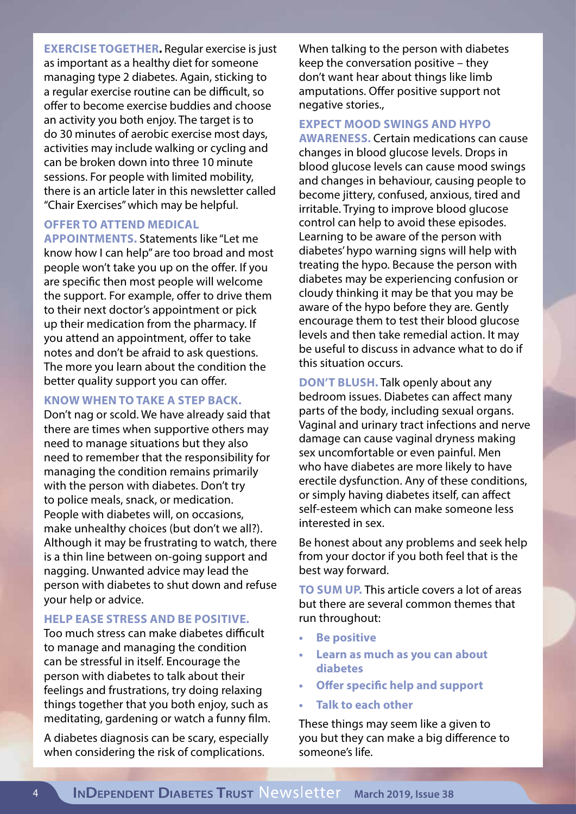**EXERCISE TOGETHER.** Regular exercise is just as important as a healthy diet for someone managing type 2 diabetes. Again, sticking to a regular exercise routine can be difficult, so offer to become exercise buddies and choose an activity you both enjoy. The target is to do 30 minutes of aerobic exercise most days, activities may include walking or cycling and can be broken down into three 10 minute sessions. For people with limited mobility, there is an article later in this newsletter called "Chair Exercises" which may be helpful.

#### **OFFER TO ATTEND MEDICAL**

**APPOINTMENTS.** Statements like "Let me know how I can help" are too broad and most people won't take you up on the offer. If you are specific then most people will welcome the support. For example, offer to drive them to their next doctor's appointment or pick up their medication from the pharmacy. If you attend an appointment, offer to take notes and don't be afraid to ask questions. The more you learn about the condition the better quality support you can offer.

#### **KNOW WHEN TO TAKE A STEP BACK.**

Don't nag or scold. We have already said that there are times when supportive others may need to manage situations but they also need to remember that the responsibility for managing the condition remains primarily with the person with diabetes. Don't try to police meals, snack, or medication. People with diabetes will, on occasions, make unhealthy choices (but don't we all?). Although it may be frustrating to watch, there is a thin line between on-going support and nagging. Unwanted advice may lead the person with diabetes to shut down and refuse your help or advice.

#### **HELP EASE STRESS AND BE POSITIVE.**

Too much stress can make diabetes difficult to manage and managing the condition can be stressful in itself. Encourage the person with diabetes to talk about their feelings and frustrations, try doing relaxing things together that you both enjoy, such as meditating, gardening or watch a funny film.

A diabetes diagnosis can be scary, especially when considering the risk of complications.

When talking to the person with diabetes keep the conversation positive – they don't want hear about things like limb amputations. Offer positive support not negative stories.,

#### **EXPECT MOOD SWINGS AND HYPO**

**AWARENESS.** Certain medications can cause changes in blood glucose levels. Drops in blood glucose levels can cause mood swings and changes in behaviour, causing people to become jittery, confused, anxious, tired and irritable. Trying to improve blood glucose control can help to avoid these episodes. Learning to be aware of the person with diabetes' hypo warning signs will help with treating the hypo. Because the person with diabetes may be experiencing confusion or cloudy thinking it may be that you may be aware of the hypo before they are. Gently encourage them to test their blood glucose levels and then take remedial action. It may be useful to discuss in advance what to do if this situation occurs.

**DON'T BLUSH.** Talk openly about any bedroom issues. Diabetes can affect many parts of the body, including sexual organs. Vaginal and urinary tract infections and nerve damage can cause vaginal dryness making sex uncomfortable or even painful. Men who have diabetes are more likely to have erectile dysfunction. Any of these conditions, or simply having diabetes itself, can affect self-esteem which can make someone less interested in sex.

Be honest about any problems and seek help from your doctor if you both feel that is the best way forward.

**TO SUM UP.** This article covers a lot of areas but there are several common themes that run throughout:

- **• Be positive**
- **• Learn as much as you can about diabetes**
- **• Offer specific help and support**
- **• Talk to each other**

These things may seem like a given to you but they can make a big difference to someone's life.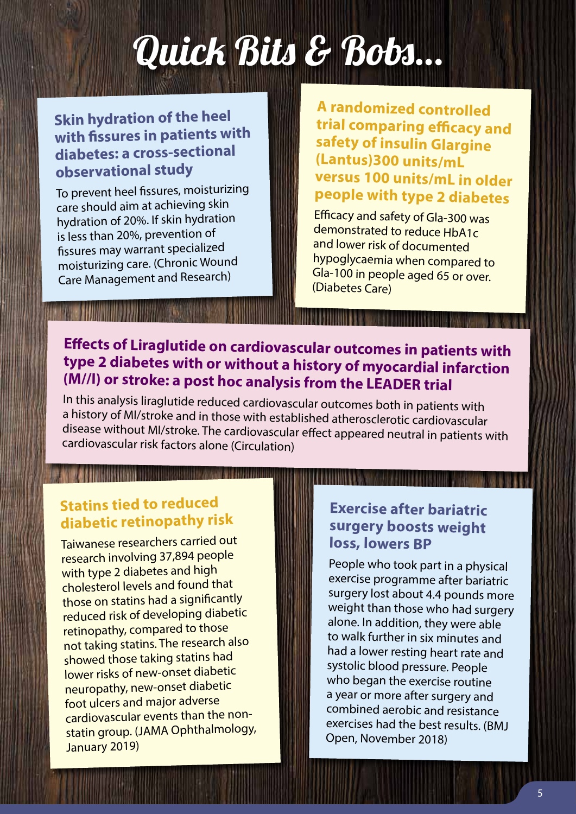# Quick Bits & Bobs…

## **Skin hydration of the heel with fissures in patients with diabetes: a cross-sectional observational study**

To prevent heel fissures, moisturizing care should aim at achieving skin hydration of 20%. If skin hydration is less than 20%, prevention o<sup>f</sup> fissures may warrant specialized moisturizing care. (Chronic Wound Care Management and Research)

**A randomized controlled trial comparing efficacy and safety of insulin Glargine (Lantus)300 units/mL versus 100 units/mL in older people with type 2 diabetes**

Efficacy and safety of Gla-300 was demonstrated to reduce HbA1c and lower risk of documented hypoglycaemia when compared to Gla-100 in people aged 65 or over. (Diabetes Care)

## **Effects of Liraglutide on cardiovascular outcomes in patients with type 2 diabetes with or without a history of myocardial infarction (M//I) or stroke: a post hoc analysis from the LEADER trial**

In this analysis liraglutide reduced cardiovascular outcomes both in patients with a history of MI/stroke and in those with established atherosclerotic cardiovascular disease without MI/stroke. The cardiovascular effect appeared neutral in patients with cardiovascular risk factors alone (Circulation)

## **Statins tied to reduced diabetic retinopathy risk**

1164110938 11111111111111111111111111111111111

Taiwanese researchers carried out research involving 37,894 people with type 2 diabetes and high cholesterol levels and found that those on statins had a significantly reduced risk of developing diabetic retinopathy, compared to those not taking statins. The research also showed those taking statins had lower risks of new-onset diabetic neuropathy, new-onset diabetic foot ulcers and major adverse cardiovascular events than the nonstatin group. (JAMA Ophthalmology, January 2019)

## **Exercise after bariatric surgery boosts weight loss, lowers BP**

People who took part in a physical exercise programme after bariatric surgery lost about 4.4 pounds more weight than those who had surgery alone. In addition, they were able to walk further in six minutes and had a lower resting heart rate and systolic blood pressure. People who began the exercise routine a year or more after surgery and combined aerobic and resistance exercises had the best results. (BMJ Open, November 2018)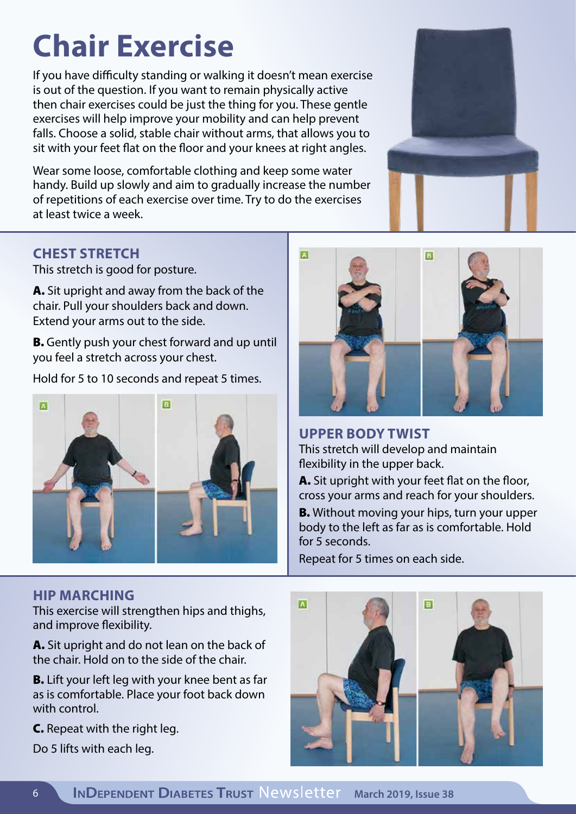# **Chair Exercise**

If you have difficulty standing or walking it doesn't mean exercise is out of the question. If you want to remain physically active then chair exercises could be just the thing for you. These gentle exercises will help improve your mobility and can help prevent falls. Choose a solid, stable chair without arms, that allows you to sit with your feet flat on the floor and your knees at right angles.

Wear some loose, comfortable clothing and keep some water handy. Build up slowly and aim to gradually increase the number of repetitions of each exercise over time. Try to do the exercises at least twice a week.



## **CHEST STRETCH**

This stretch is good for posture.

A. Sit upright and away from the back of the chair. Pull your shoulders back and down. Extend your arms out to the side.

B. Gently push your chest forward and up until you feel a stretch across your chest.

Hold for 5 to 10 seconds and repeat 5 times.



### **HIP MARCHING**

This exercise will strengthen hips and thighs, and improve flexibility.

A. Sit upright and do not lean on the back of the chair. Hold on to the side of the chair.

**B.** Lift your left leg with your knee bent as far as is comfortable. Place your foot back down with control.

C. Repeat with the right leg.

Do 5 lifts with each leg.



**UPPER BODY TWIST** This stretch will develop and maintain flexibility in the upper back.

A. Sit upright with your feet flat on the floor, cross your arms and reach for your shoulders.

**B.** Without moving your hips, turn your upper body to the left as far as is comfortable. Hold for 5 seconds.

Repeat for 5 times on each side.

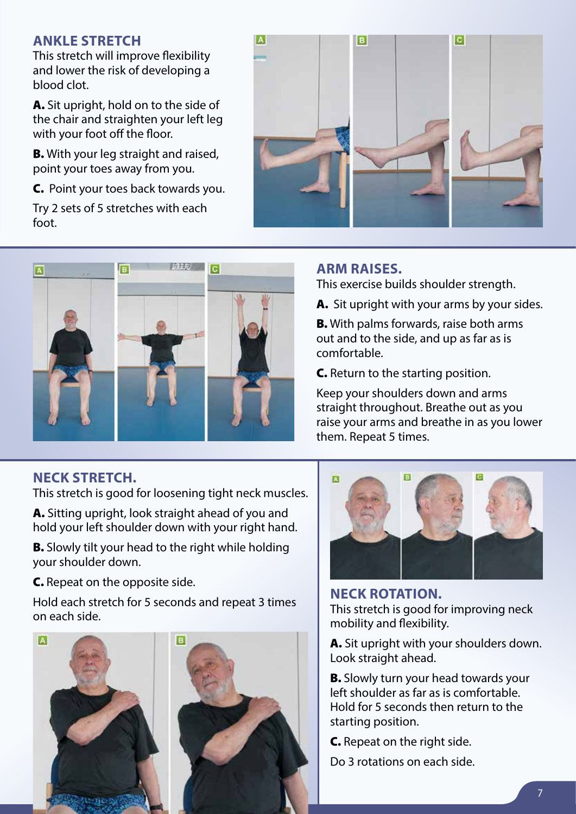#### **ANKLE STRETCH**

This stretch will improve flexibility and lower the risk of developing a blood clot.

A. Sit upright, hold on to the side of the chair and straighten your left leg with your foot off the floor.

**B.** With your leg straight and raised, point your toes away from you.

C. Point your toes back towards you.

Try 2 sets of 5 stretches with each foot.





### **NECK STRETCH.**

This stretch is good for loosening tight neck muscles.

A. Sitting upright, look straight ahead of you and hold your left shoulder down with your right hand.

**B.** Slowly tilt your head to the right while holding your shoulder down.

C. Repeat on the opposite side.

Hold each stretch for 5 seconds and repeat 3 times on each side.



#### **ARM RAISES.**

This exercise builds shoulder strength.

A. Sit upright with your arms by your sides.

B. With palms forwards, raise both arms out and to the side, and up as far as is comfortable.

C. Return to the starting position.

Keep your shoulders down and arms straight throughout. Breathe out as you raise your arms and breathe in as you lower them. Repeat 5 times.



**NECK ROTATION.**  This stretch is good for improving neck mobility and flexibility.

A. Sit upright with your shoulders down. Look straight ahead.

**B.** Slowly turn your head towards your left shoulder as far as is comfortable. Hold for 5 seconds then return to the starting position.

C. Repeat on the right side. Do 3 rotations on each side.